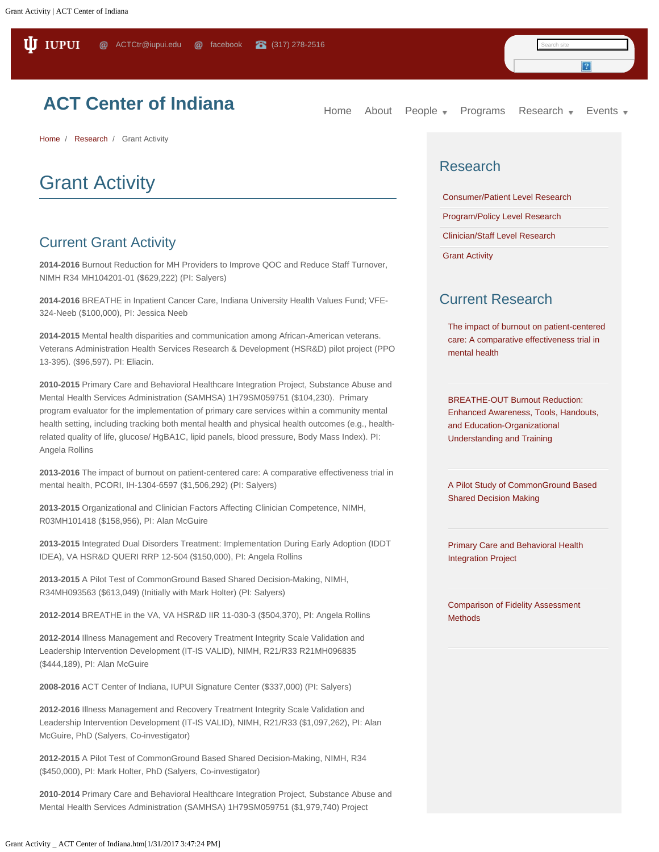## **[ACT Center of Indiana](file:///)**

[Home](http://act.psych.iupui.edu/) [About](file:///about) [People](file:///people)  $\bullet$  [Programs](file:///content/programs) [Research](file:///content/research)  $\bullet$  [Events](file:///events)  $\bullet$ 

**[Home](file:///)** / **[Research](file:///content/research)** / Grant Activity

# Grant Activity

#### Current Grant Activity

**2014-2016** Burnout Reduction for MH Providers to Improve QOC and Reduce Staff Turnover, NIMH R34 MH104201-01 (\$629,222) (PI: Salyers)

**2014-2016** BREATHE in Inpatient Cancer Care, Indiana University Health Values Fund; VFE-324-Neeb (\$100,000), PI: Jessica Neeb

**2014-2015** Mental health disparities and communication among African-American veterans. Veterans Administration Health Services Research & Development (HSR&D) pilot project (PPO 13-395). (\$96,597). PI: Eliacin.

**2010-2015** Primary Care and Behavioral Healthcare Integration Project, Substance Abuse and Mental Health Services Administration (SAMHSA) 1H79SM059751 (\$104,230). Primary program evaluator for the implementation of primary care services within a community mental health setting, including tracking both mental health and physical health outcomes (e.g., healthrelated quality of life, glucose/ HgBA1C, lipid panels, blood pressure, Body Mass Index). PI: Angela Rollins

**2013-2016** The impact of burnout on patient-centered care: A comparative effectiveness trial in mental health, PCORI, IH-1304-6597 (\$1,506,292) (PI: Salyers)

**2013-2015** Organizational and Clinician Factors Affecting Clinician Competence, NIMH, R03MH101418 (\$158,956), PI: Alan McGuire

**2013-2015** Integrated Dual Disorders Treatment: Implementation During Early Adoption (IDDT IDEA), VA HSR&D QUERI RRP 12-504 (\$150,000), PI: Angela Rollins

**2013-2015** A Pilot Test of CommonGround Based Shared Decision-Making, NIMH, R34MH093563 (\$613,049) (Initially with Mark Holter) (PI: Salyers)

**2012-2014** BREATHE in the VA, VA HSR&D IIR 11-030-3 (\$504,370), PI: Angela Rollins

**2012-2014** Illness Management and Recovery Treatment Integrity Scale Validation and Leadership Intervention Development (IT-IS VALID), NIMH, R21/R33 R21MH096835 (\$444,189), PI: Alan McGuire

**2008-2016** ACT Center of Indiana, IUPUI Signature Center (\$337,000) (PI: Salyers)

**2012-2016** Illness Management and Recovery Treatment Integrity Scale Validation and Leadership Intervention Development (IT-IS VALID), NIMH, R21/R33 (\$1,097,262), PI: Alan McGuire, PhD (Salyers, Co-investigator)

**2012-2015** A Pilot Test of CommonGround Based Shared Decision-Making, NIMH, R34 (\$450,000), PI: Mark Holter, PhD (Salyers, Co-investigator)

**2010-2014** Primary Care and Behavioral Healthcare Integration Project, Substance Abuse and Mental Health Services Administration (SAMHSA) 1H79SM059751 (\$1,979,740) Project

#### Research

[Consumer/Patient Level Research](file:///research/consumerpatient-level-research)

[Program/Policy Level Research](file:///research/programpolicy-level-research)

[Clinician/Staff Level Research](file:///research/clinicianstaff-level-research)

[Grant Activity](file:///content/grant-activity)

#### Current Research

[The impact of burnout on patient-centered](file:///content/impact-burnout-patient-centered-care-comparative-effectiveness-trial-mental-health) [care: A comparative effectiveness trial in](file:///content/impact-burnout-patient-centered-care-comparative-effectiveness-trial-mental-health) [mental health](file:///content/impact-burnout-patient-centered-care-comparative-effectiveness-trial-mental-health)

[BREATHE-OUT Burnout Reduction:](file:///content/breathe-out-burnout-reduction-enhanced-awareness-tools-handouts-and-education-organizational) [Enhanced Awareness, Tools, Handouts,](file:///content/breathe-out-burnout-reduction-enhanced-awareness-tools-handouts-and-education-organizational) [and Education-Organizational](file:///content/breathe-out-burnout-reduction-enhanced-awareness-tools-handouts-and-education-organizational) [Understanding and Training](file:///content/breathe-out-burnout-reduction-enhanced-awareness-tools-handouts-and-education-organizational)

[A Pilot Study of CommonGround Based](file:///content/pilot-study-commonground-based-shared-decision-making) [Shared Decision Making](file:///content/pilot-study-commonground-based-shared-decision-making)

[Primary Care and Behavioral Health](file:///content/primary-care-and-behavioral-health-integration-project) [Integration Project](file:///content/primary-care-and-behavioral-health-integration-project)

[Comparison of Fidelity Assessment](file:///content/comparison-fidelity-assessment-methods) **[Methods](file:///content/comparison-fidelity-assessment-methods)**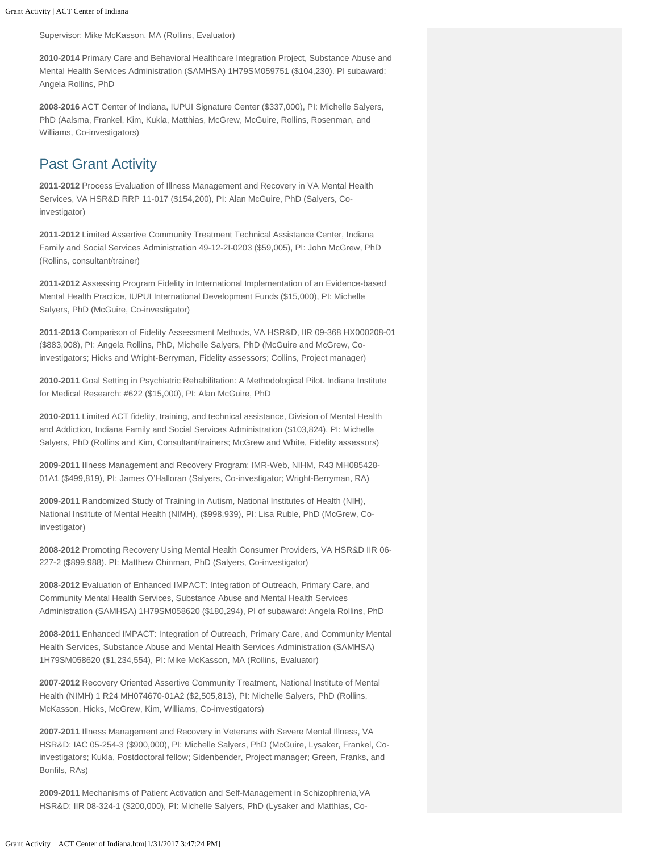Supervisor: Mike McKasson, MA (Rollins, Evaluator)

**2010-2014** Primary Care and Behavioral Healthcare Integration Project, Substance Abuse and Mental Health Services Administration (SAMHSA) 1H79SM059751 (\$104,230). PI subaward: Angela Rollins, PhD

**2008-2016** ACT Center of Indiana, IUPUI Signature Center (\$337,000), PI: Michelle Salyers, PhD (Aalsma, Frankel, Kim, Kukla, Matthias, McGrew, McGuire, Rollins, Rosenman, and Williams, Co-investigators)

#### Past Grant Activity

**2011-2012** Process Evaluation of Illness Management and Recovery in VA Mental Health Services, VA HSR&D RRP 11-017 (\$154,200), PI: Alan McGuire, PhD (Salyers, Coinvestigator)

**2011-2012** Limited Assertive Community Treatment Technical Assistance Center, Indiana Family and Social Services Administration 49-12-2I-0203 (\$59,005), PI: John McGrew, PhD (Rollins, consultant/trainer)

**2011-2012** Assessing Program Fidelity in International Implementation of an Evidence-based Mental Health Practice, IUPUI International Development Funds (\$15,000), PI: Michelle Salyers, PhD (McGuire, Co-investigator)

**2011-2013** Comparison of Fidelity Assessment Methods, VA HSR&D, IIR 09-368 HX000208-01 (\$883,008), PI: Angela Rollins, PhD, Michelle Salyers, PhD (McGuire and McGrew, Coinvestigators; Hicks and Wright-Berryman, Fidelity assessors; Collins, Project manager)

**2010-2011** Goal Setting in Psychiatric Rehabilitation: A Methodological Pilot. Indiana Institute for Medical Research: #622 (\$15,000), PI: Alan McGuire, PhD

**2010-2011** Limited ACT fidelity, training, and technical assistance, Division of Mental Health and Addiction, Indiana Family and Social Services Administration (\$103,824), PI: Michelle Salyers, PhD (Rollins and Kim, Consultant/trainers; McGrew and White, Fidelity assessors)

**2009-2011** Illness Management and Recovery Program: IMR-Web, NIHM, R43 MH085428- 01A1 (\$499,819), PI: James O'Halloran (Salyers, Co-investigator; Wright-Berryman, RA)

**2009-2011** Randomized Study of Training in Autism, National Institutes of Health (NIH), National Institute of Mental Health (NIMH), (\$998,939), PI: Lisa Ruble, PhD (McGrew, Coinvestigator)

**2008-2012** Promoting Recovery Using Mental Health Consumer Providers, VA HSR&D IIR 06- 227-2 (\$899,988). PI: Matthew Chinman, PhD (Salyers, Co-investigator)

**2008-2012** Evaluation of Enhanced IMPACT: Integration of Outreach, Primary Care, and Community Mental Health Services, Substance Abuse and Mental Health Services Administration (SAMHSA) 1H79SM058620 (\$180,294), PI of subaward: Angela Rollins, PhD

**2008-2011** Enhanced IMPACT: Integration of Outreach, Primary Care, and Community Mental Health Services, Substance Abuse and Mental Health Services Administration (SAMHSA) 1H79SM058620 (\$1,234,554), PI: Mike McKasson, MA (Rollins, Evaluator)

**2007-2012** Recovery Oriented Assertive Community Treatment, National Institute of Mental Health (NIMH) 1 R24 MH074670-01A2 (\$2,505,813), PI: Michelle Salyers, PhD (Rollins, McKasson, Hicks, McGrew, Kim, Williams, Co-investigators)

**2007-2011** Illness Management and Recovery in Veterans with Severe Mental Illness, VA HSR&D: IAC 05-254-3 (\$900,000), PI: Michelle Salyers, PhD (McGuire, Lysaker, Frankel, Coinvestigators; Kukla, Postdoctoral fellow; Sidenbender, Project manager; Green, Franks, and Bonfils, RAs)

**2009-2011** Mechanisms of Patient Activation and Self-Management in Schizophrenia,VA HSR&D: IIR 08-324-1 (\$200,000), PI: Michelle Salyers, PhD (Lysaker and Matthias, Co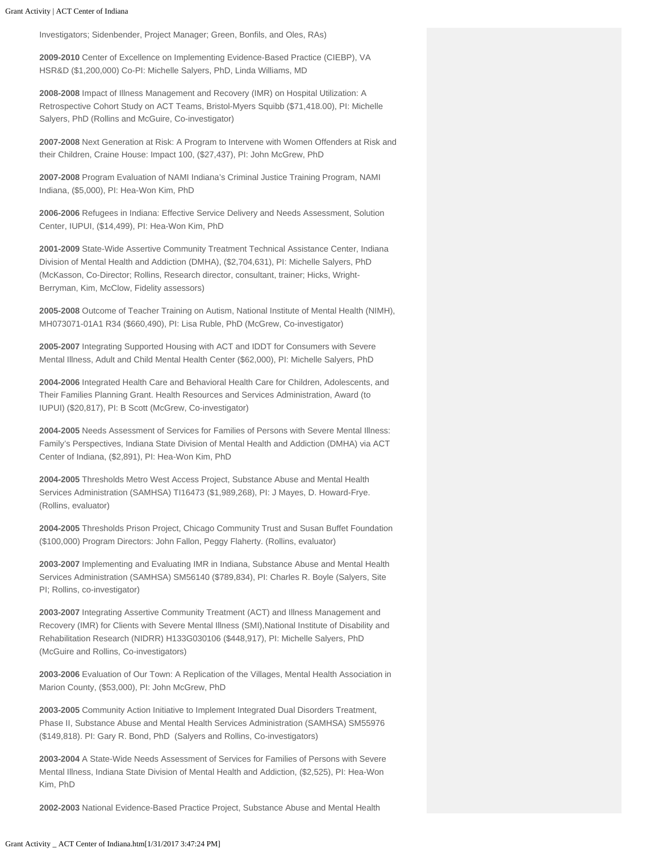Investigators; Sidenbender, Project Manager; Green, Bonfils, and Oles, RAs)

**2009-2010** Center of Excellence on Implementing Evidence-Based Practice (CIEBP), VA HSR&D (\$1,200,000) Co-PI: Michelle Salyers, PhD, Linda Williams, MD

**2008-2008** Impact of Illness Management and Recovery (IMR) on Hospital Utilization: A Retrospective Cohort Study on ACT Teams, Bristol-Myers Squibb (\$71,418.00), PI: Michelle Salyers, PhD (Rollins and McGuire, Co-investigator)

**2007-2008** Next Generation at Risk: A Program to Intervene with Women Offenders at Risk and their Children, Craine House: Impact 100, (\$27,437), PI: John McGrew, PhD

**2007-2008** Program Evaluation of NAMI Indiana's Criminal Justice Training Program, NAMI Indiana, (\$5,000), PI: Hea-Won Kim, PhD

**2006-2006** Refugees in Indiana: Effective Service Delivery and Needs Assessment, Solution Center, IUPUI, (\$14,499), PI: Hea-Won Kim, PhD

**2001-2009** State-Wide Assertive Community Treatment Technical Assistance Center, Indiana Division of Mental Health and Addiction (DMHA), (\$2,704,631), PI: Michelle Salyers, PhD (McKasson, Co-Director; Rollins, Research director, consultant, trainer; Hicks, Wright-Berryman, Kim, McClow, Fidelity assessors)

**2005-2008** Outcome of Teacher Training on Autism, National Institute of Mental Health (NIMH), MH073071-01A1 R34 (\$660,490), PI: Lisa Ruble, PhD (McGrew, Co-investigator)

**2005-2007** Integrating Supported Housing with ACT and IDDT for Consumers with Severe Mental Illness, Adult and Child Mental Health Center (\$62,000), PI: Michelle Salyers, PhD

**2004-2006** Integrated Health Care and Behavioral Health Care for Children, Adolescents, and Their Families Planning Grant. Health Resources and Services Administration, Award (to IUPUI) (\$20,817), PI: B Scott (McGrew, Co-investigator)

**2004-2005** Needs Assessment of Services for Families of Persons with Severe Mental Illness: Family's Perspectives, Indiana State Division of Mental Health and Addiction (DMHA) via ACT Center of Indiana, (\$2,891), PI: Hea-Won Kim, PhD

**2004-2005** Thresholds Metro West Access Project, Substance Abuse and Mental Health Services Administration (SAMHSA) TI16473 (\$1,989,268), PI: J Mayes, D. Howard-Frye. (Rollins, evaluator)

**2004-2005** Thresholds Prison Project, Chicago Community Trust and Susan Buffet Foundation (\$100,000) Program Directors: John Fallon, Peggy Flaherty. (Rollins, evaluator)

**2003-2007** Implementing and Evaluating IMR in Indiana, Substance Abuse and Mental Health Services Administration (SAMHSA) SM56140 (\$789,834), PI: Charles R. Boyle (Salyers, Site PI; Rollins, co-investigator)

**2003-2007** Integrating Assertive Community Treatment (ACT) and Illness Management and Recovery (IMR) for Clients with Severe Mental Illness (SMI),National Institute of Disability and Rehabilitation Research (NIDRR) H133G030106 (\$448,917), PI: Michelle Salyers, PhD (McGuire and Rollins, Co-investigators)

**2003-2006** Evaluation of Our Town: A Replication of the Villages, Mental Health Association in Marion County, (\$53,000), PI: John McGrew, PhD

**2003-2005** Community Action Initiative to Implement Integrated Dual Disorders Treatment, Phase II, Substance Abuse and Mental Health Services Administration (SAMHSA) SM55976 (\$149,818). PI: Gary R. Bond, PhD (Salyers and Rollins, Co-investigators)

**2003-2004** A State-Wide Needs Assessment of Services for Families of Persons with Severe Mental Illness, Indiana State Division of Mental Health and Addiction, (\$2,525), PI: Hea-Won Kim, PhD

**2002-2003** National Evidence-Based Practice Project, Substance Abuse and Mental Health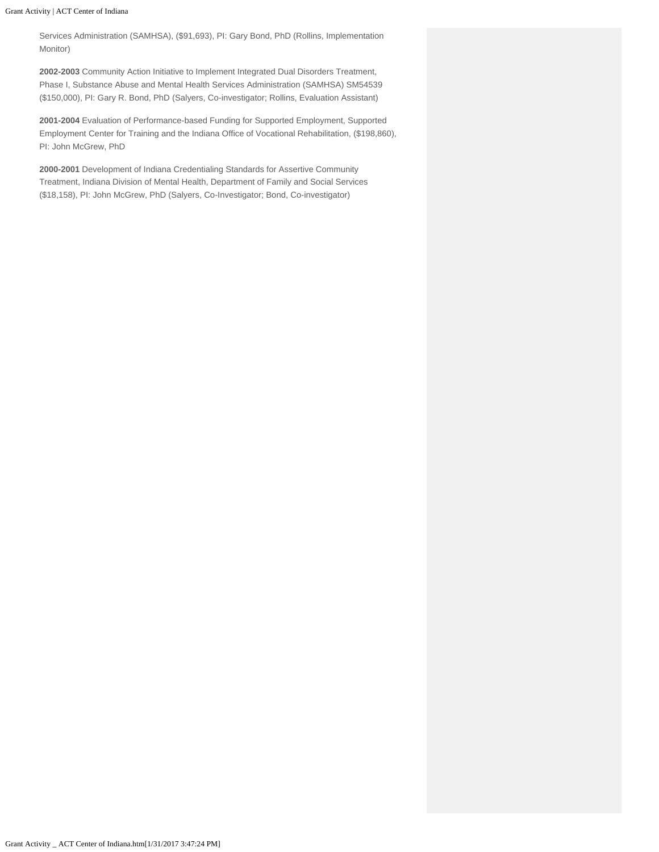Services Administration (SAMHSA), (\$91,693), PI: Gary Bond, PhD (Rollins, Implementation Monitor)

**2002-2003** Community Action Initiative to Implement Integrated Dual Disorders Treatment, Phase I, Substance Abuse and Mental Health Services Administration (SAMHSA) SM54539 (\$150,000), PI: Gary R. Bond, PhD (Salyers, Co-investigator; Rollins, Evaluation Assistant)

**2001-2004** Evaluation of Performance-based Funding for Supported Employment, Supported Employment Center for Training and the Indiana Office of Vocational Rehabilitation, (\$198,860), PI: John McGrew, PhD

**2000-2001** Development of Indiana Credentialing Standards for Assertive Community Treatment, Indiana Division of Mental Health, Department of Family and Social Services (\$18,158), PI: John McGrew, PhD (Salyers, Co-Investigator; Bond, Co-investigator)